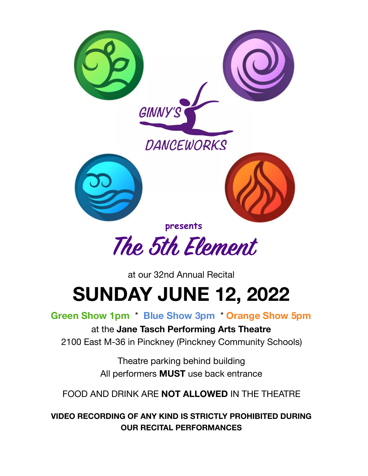

at our 32nd Annual Recital **SUNDAY JUNE 12, 2022** 

**Green Show 1pm** \* **Blue Show 3pm** \* **Orange Show 5pm**

at the **Jane Tasch Performing Arts Theatre**  2100 East M-36 in Pinckney (Pinckney Community Schools)

> Theatre parking behind building All performers **MUST** use back entrance

FOOD AND DRINK ARE **NOT ALLOWED** IN THE THEATRE

**VIDEO RECORDING OF ANY KIND IS STRICTLY PROHIBITED DURING OUR RECITAL PERFORMANCES**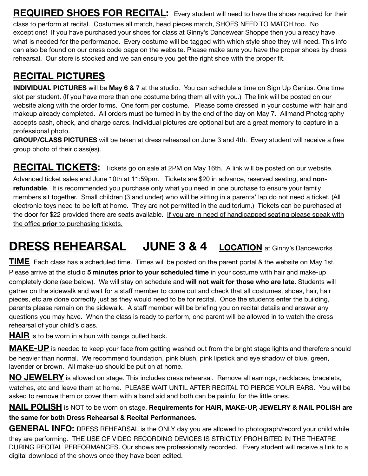**REQUIRED SHOES FOR RECITAL:** Every student will need to have the shoes required for their

class to perform at recital. Costumes all match, head pieces match, SHOES NEED TO MATCH too. No exceptions! If you have purchased your shoes for class at Ginny's Dancewear Shoppe then you already have what is needed for the performance. Every costume will be tagged with which style shoe they will need. This info can also be found on our dress code page on the website. Please make sure you have the proper shoes by dress rehearsal. Our store is stocked and we can ensure you get the right shoe with the proper fit.

### **RECITAL PICTURES**

**INDIVIDUAL PICTURES** will be **May 6 & 7** at the studio. You can schedule a time on Sign Up Genius. One time slot per student. (If you have more than one costume bring them all with you.) The link will be posted on our website along with the order forms. One form per costume. Please come dressed in your costume with hair and makeup already completed. All orders must be turned in by the end of the day on May 7. Allmand Photography accepts cash, check, and charge cards. Individual pictures are optional but are a great memory to capture in a professional photo.

**GROUP/CLASS PICTURES** will be taken at dress rehearsal on June 3 and 4th. Every student will receive a free group photo of their class(es).

**RECITAL TICKETS:** Tickets go on sale at 2PM on May 16th. A link will be posted on our website. Advanced ticket sales end June 10th at 11:59pm. Tickets are \$20 in advance, reserved seating, and **nonrefundable**. It is recommended you purchase only what you need in one purchase to ensure your family members sit together. Small children (3 and under) who will be sitting in a parents' lap do not need a ticket. (All electronic toys need to be left at home. They are not permitted in the auditorium.) Tickets can be purchased at the door for \$22 provided there are seats available. If you are in need of handicapped seating please speak with the office **prior** to purchasing tickets.

## **DRESS REHEARSAL JUNE 3 & 4 LOCATION** at Ginny's Danceworks

**TIME** Each class has a scheduled time. Times will be posted on the parent portal & the website on May 1st. Please arrive at the studio **5 minutes prior to your scheduled time** in your costume with hair and make-up completely done (see below). We will stay on schedule and **will not wait for those who are late**. Students will gather on the sidewalk and wait for a staff member to come out and check that all costumes, shoes, hair, hair pieces, etc are done correctly just as they would need to be for recital. Once the students enter the building, parents please remain on the sidewalk. A staff member will be briefing you on recital details and answer any questions you may have. When the class is ready to perform, one parent will be allowed in to watch the dress rehearsal of your child's class.

**HAIR** is to be worn in a bun with bangs pulled back.

**MAKE-UP** is needed to keep your face from getting washed out from the bright stage lights and therefore should be heavier than normal. We recommend foundation, pink blush, pink lipstick and eye shadow of blue, green, lavender or brown. All make-up should be put on at home.

**NO JEWELRY** is allowed on stage. This includes dress rehearsal. Remove all earrings, necklaces, bracelets, watches, etc and leave them at home. PLEASE WAIT UNTIL AFTER RECITAL TO PIERCE YOUR EARS. You will be asked to remove them or cover them with a band aid and both can be painful for the little ones.

**NAIL POLISH** is NOT to be worn on stage. **Requirements for HAIR, MAKE-UP, JEWELRY & NAIL POLISH are the same for both Dress Rehearsal & Recital Performances.** 

**GENERAL INFO:** DRESS REHEARSAL is the ONLY day you are allowed to photograph/record your child while they are performing. THE USE OF VIDEO RECORDING DEVICES IS STRICTLY PROHIBITED IN THE THEATRE DURING RECITAL PERFORMANCES. Our shows are professionally recorded. Every student will receive a link to a digital download of the shows once they have been edited.